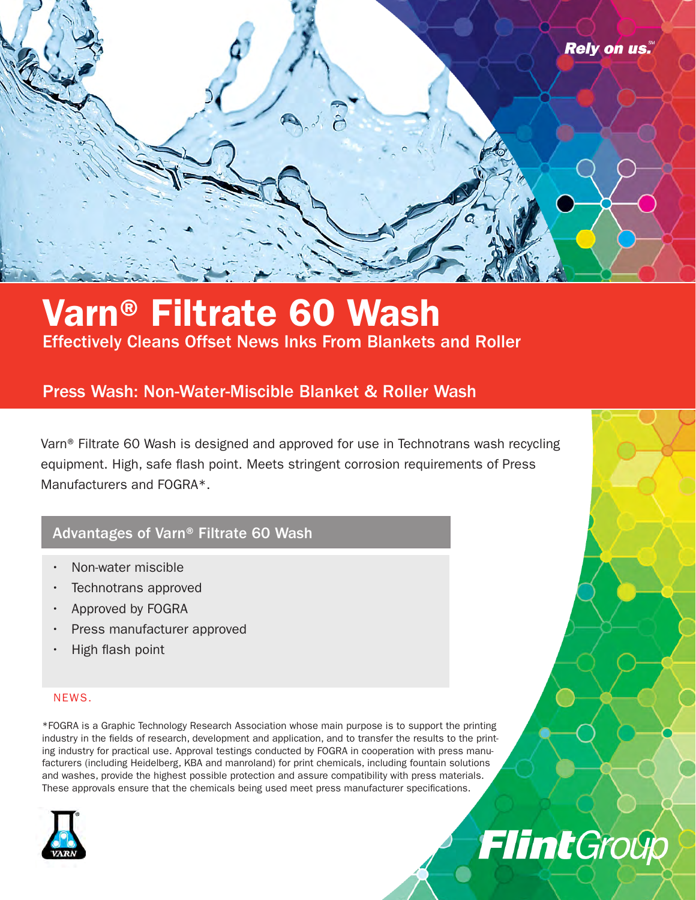

## Varn® Filtrate 60 Wash Effectively Cleans Offset News Inks From Blankets and Roller

### Press Wash: Non-Water-Miscible Blanket & Roller Wash

Varn® Filtrate 60 Wash is designed and approved for use in Technotrans wash recycling equipment. High, safe flash point. Meets stringent corrosion requirements of Press Manufacturers and FOGRA\*.

### Advantages of Varn® Filtrate 60 Wash

- Non-water miscible
- Technotrans approved
- Approved by FOGRA
- Press manufacturer approved
- High flash point

### NEWS.

\*FOGRA is a Graphic Technology Research Association whose main purpose is to support the printing industry in the fields of research, development and application, and to transfer the results to the printing industry for practical use. Approval testings conducted by FOGRA in cooperation with press manufacturers (including Heidelberg, KBA and manroland) for print chemicals, including fountain solutions and washes, provide the highest possible protection and assure compatibility with press materials. These approvals ensure that the chemicals being used meet press manufacturer specifications.

**Flint**Group